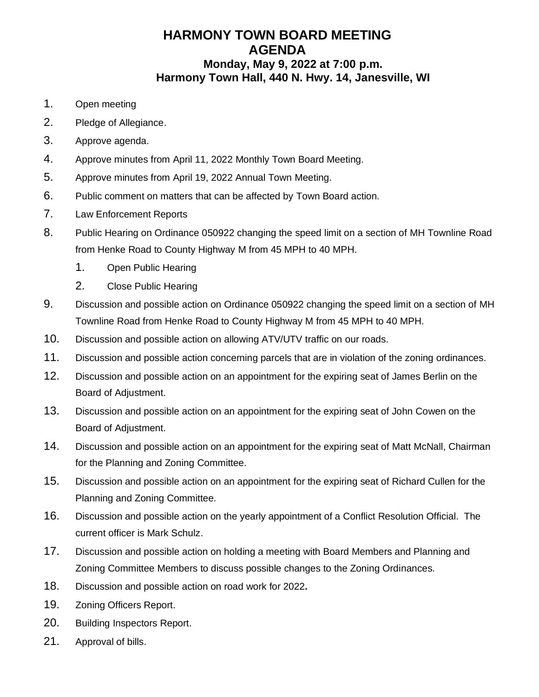# **HARMONY TOWN BOARD MEETING AGENDA Monday, May 9, 2022 at 7:00 p.m. Harmony Town Hall, 440 N. Hwy. 14, Janesville, WI**

- 1. Open meeting
- 2. Pledge of Allegiance.
- 3. Approve agenda.
- 4. Approve minutes from April 11, 2022 Monthly Town Board Meeting.
- 5. Approve minutes from April 19, 2022 Annual Town Meeting.
- 6. Public comment on matters that can be affected by Town Board action.
- 7. Law Enforcement Reports
- 8. Public Hearing on Ordinance 050922 changing the speed limit on a section of MH Townline Road from Henke Road to County Highway M from 45 MPH to 40 MPH.
	- 1. Open Public Hearing
	- 2. Close Public Hearing
- 9. Discussion and possible action on Ordinance 050922 changing the speed limit on a section of MH Townline Road from Henke Road to County Highway M from 45 MPH to 40 MPH.
- 10. Discussion and possible action on allowing ATV/UTV traffic on our roads.
- 11. Discussion and possible action concerning parcels that are in violation of the zoning ordinances.
- 12. Discussion and possible action on an appointment for the expiring seat of James Berlin on the Board of Adjustment.
- 13. Discussion and possible action on an appointment for the expiring seat of John Cowen on the Board of Adjustment.
- 14. Discussion and possible action on an appointment for the expiring seat of Matt McNall, Chairman for the Planning and Zoning Committee.
- 15. Discussion and possible action on an appointment for the expiring seat of Richard Cullen for the Planning and Zoning Committee.
- 16. Discussion and possible action on the yearly appointment of a Conflict Resolution Official. The current officer is Mark Schulz.
- 17. Discussion and possible action on holding a meeting with Board Members and Planning and Zoning Committee Members to discuss possible changes to the Zoning Ordinances.
- 18. Discussion and possible action on road work for 2022**.**
- 19. Zoning Officers Report.
- 20. Building Inspectors Report.
- 21. Approval of bills.